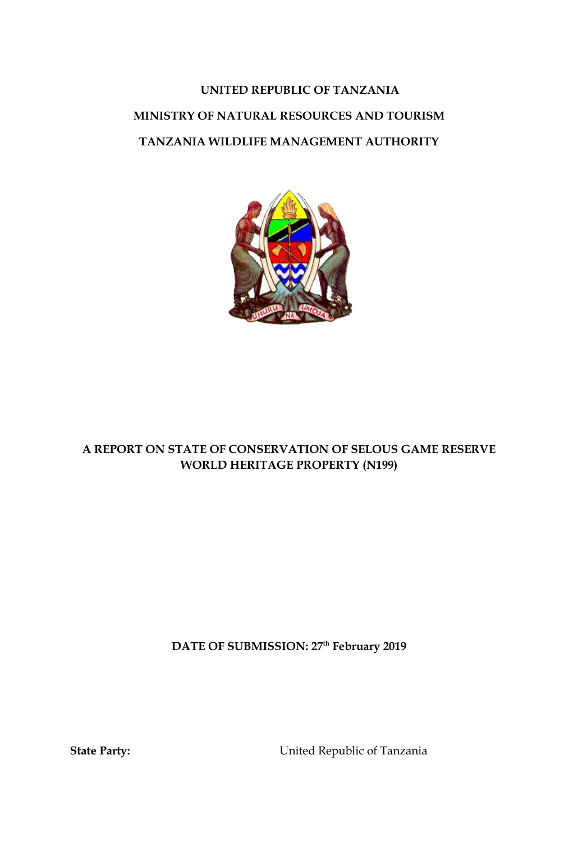# **UNITED REPUBLIC OF TANZANIA MINISTRY OF NATURAL RESOURCES AND TOURISM TANZANIA WILDLIFE MANAGEMENT AUTHORITY**



# **A REPORT ON STATE OF CONSERVATION OF SELOUS GAME RESERVE WORLD HERITAGE PROPERTY (N199)**

**DATE OF SUBMISSION: 27th February 2019**

**State Party:** United Republic of Tanzania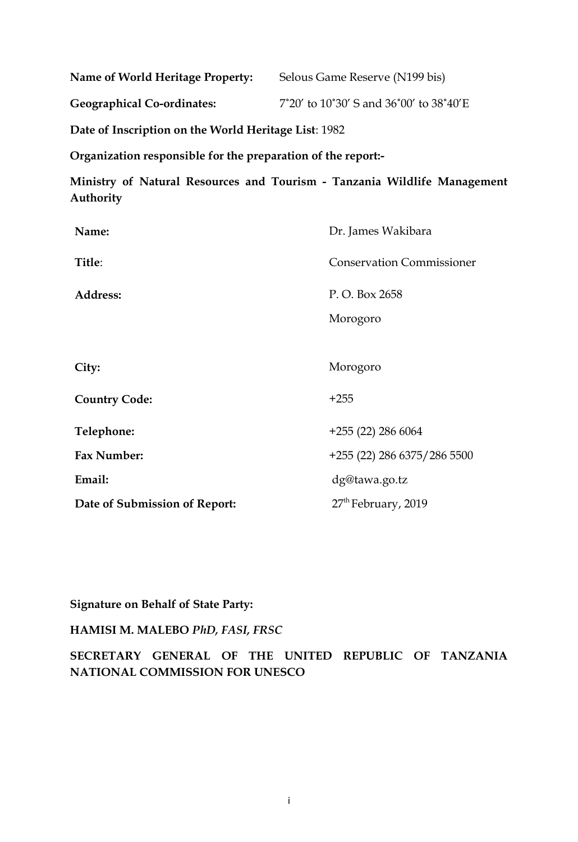| Name of World Heritage Property:  | Selous Game Reserve (N199 bis)          |
|-----------------------------------|-----------------------------------------|
| <b>Geographical Co-ordinates:</b> | 7°20' to 10°30' S and 36°00' to 38°40'E |

**Date of Inscription on the World Heritage List**: 1982

**Organization responsible for the preparation of the report:-**

**Ministry of Natural Resources and Tourism - Tanzania Wildlife Management Authority**

| Name:                         | Dr. James Wakibara               |
|-------------------------------|----------------------------------|
| Title:                        | <b>Conservation Commissioner</b> |
| Address:                      | P.O. Box 2658                    |
|                               | Morogoro                         |
|                               |                                  |
| City:                         | Morogoro                         |
| <b>Country Code:</b>          | $+255$                           |
| Telephone:                    | $+255(22)$ 286 6064              |
| Fax Number:                   | +255 (22) 286 6375/286 5500      |
| Email:                        | dg@tawa.go.tz                    |
| Date of Submission of Report: | 27 <sup>th</sup> February, 2019  |

**Signature on Behalf of State Party:**

## **HAMISI M. MALEBO** *PhD, FASI, FRSC*

**SECRETARY GENERAL OF THE UNITED REPUBLIC OF TANZANIA NATIONAL COMMISSION FOR UNESCO**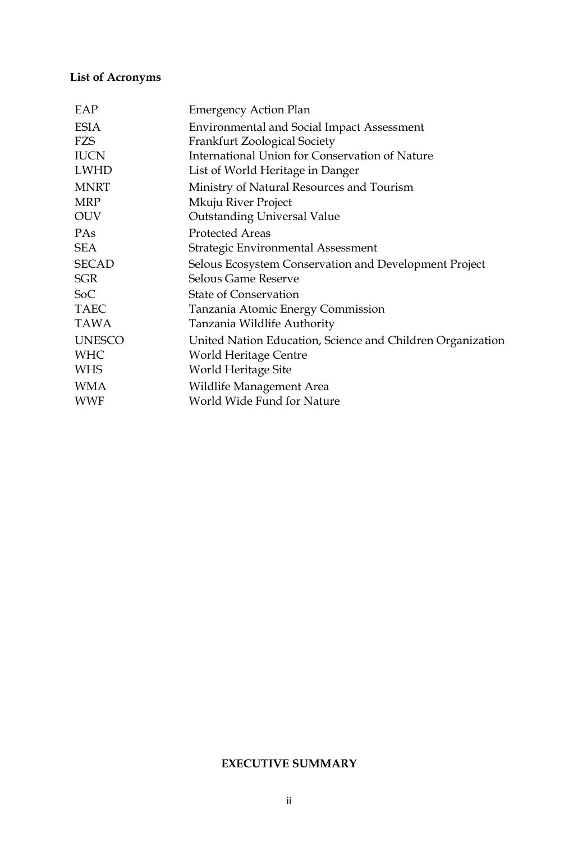# **List of Acronyms**

| EAP           | <b>Emergency Action Plan</b>                               |
|---------------|------------------------------------------------------------|
| <b>ESIA</b>   | <b>Environmental and Social Impact Assessment</b>          |
| FZS           | <b>Frankfurt Zoological Society</b>                        |
| <b>IUCN</b>   | International Union for Conservation of Nature             |
| <b>LWHD</b>   | List of World Heritage in Danger                           |
| <b>MNRT</b>   | Ministry of Natural Resources and Tourism                  |
| <b>MRP</b>    | Mkuju River Project                                        |
| <b>OUV</b>    | <b>Outstanding Universal Value</b>                         |
| PAs           | <b>Protected Areas</b>                                     |
| <b>SEA</b>    | <b>Strategic Environmental Assessment</b>                  |
| <b>SECAD</b>  | Selous Ecosystem Conservation and Development Project      |
| <b>SGR</b>    | <b>Selous Game Reserve</b>                                 |
| SoC           | <b>State of Conservation</b>                               |
| <b>TAEC</b>   | Tanzania Atomic Energy Commission                          |
| <b>TAWA</b>   | Tanzania Wildlife Authority                                |
| <b>UNESCO</b> | United Nation Education, Science and Children Organization |
| <b>WHC</b>    | World Heritage Centre                                      |
| <b>WHS</b>    | World Heritage Site                                        |
| <b>WMA</b>    | Wildlife Management Area                                   |
| <b>WWF</b>    | World Wide Fund for Nature                                 |
|               |                                                            |

## **EXECUTIVE SUMMARY**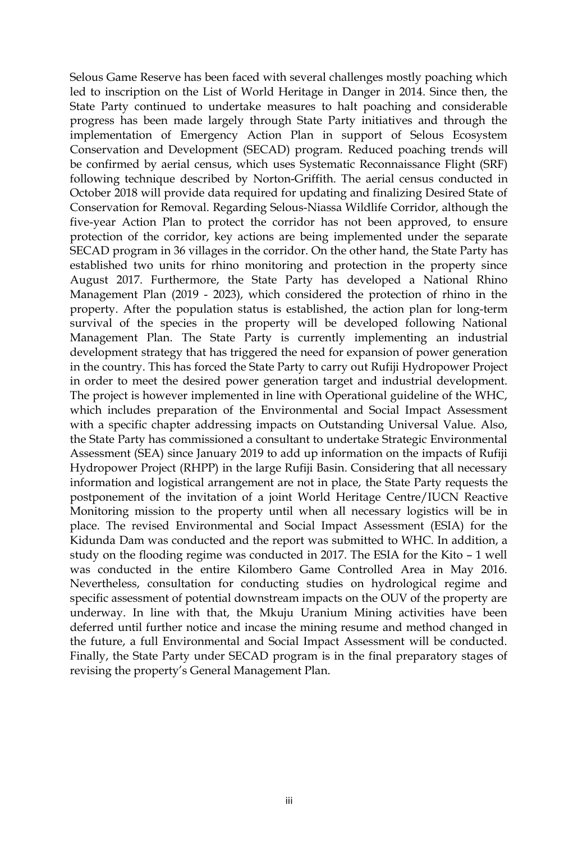Selous Game Reserve has been faced with several challenges mostly poaching which led to inscription on the List of World Heritage in Danger in 2014. Since then, the State Party continued to undertake measures to halt poaching and considerable progress has been made largely through State Party initiatives and through the implementation of Emergency Action Plan in support of Selous Ecosystem Conservation and Development (SECAD) program. Reduced poaching trends will be confirmed by aerial census, which uses Systematic Reconnaissance Flight (SRF) following technique described by Norton-Griffith. The aerial census conducted in October 2018 will provide data required for updating and finalizing Desired State of Conservation for Removal. Regarding Selous-Niassa Wildlife Corridor, although the five-year Action Plan to protect the corridor has not been approved, to ensure protection of the corridor, key actions are being implemented under the separate SECAD program in 36 villages in the corridor. On the other hand, the State Party has established two units for rhino monitoring and protection in the property since August 2017. Furthermore, the State Party has developed a National Rhino Management Plan (2019 - 2023), which considered the protection of rhino in the property. After the population status is established, the action plan for long-term survival of the species in the property will be developed following National Management Plan. The State Party is currently implementing an industrial development strategy that has triggered the need for expansion of power generation in the country. This has forced the State Party to carry out Rufiji Hydropower Project in order to meet the desired power generation target and industrial development. The project is however implemented in line with Operational guideline of the WHC, which includes preparation of the Environmental and Social Impact Assessment with a specific chapter addressing impacts on Outstanding Universal Value. Also, the State Party has commissioned a consultant to undertake Strategic Environmental Assessment (SEA) since January 2019 to add up information on the impacts of Rufiji Hydropower Project (RHPP) in the large Rufiji Basin. Considering that all necessary information and logistical arrangement are not in place, the State Party requests the postponement of the invitation of a joint World Heritage Centre/IUCN Reactive Monitoring mission to the property until when all necessary logistics will be in place. The revised Environmental and Social Impact Assessment (ESIA) for the Kidunda Dam was conducted and the report was submitted to WHC. In addition, a study on the flooding regime was conducted in 2017. The ESIA for the Kito – 1 well was conducted in the entire Kilombero Game Controlled Area in May 2016. Nevertheless, consultation for conducting studies on hydrological regime and specific assessment of potential downstream impacts on the OUV of the property are underway. In line with that, the Mkuju Uranium Mining activities have been deferred until further notice and incase the mining resume and method changed in the future, a full Environmental and Social Impact Assessment will be conducted. Finally, the State Party under SECAD program is in the final preparatory stages of revising the property's General Management Plan.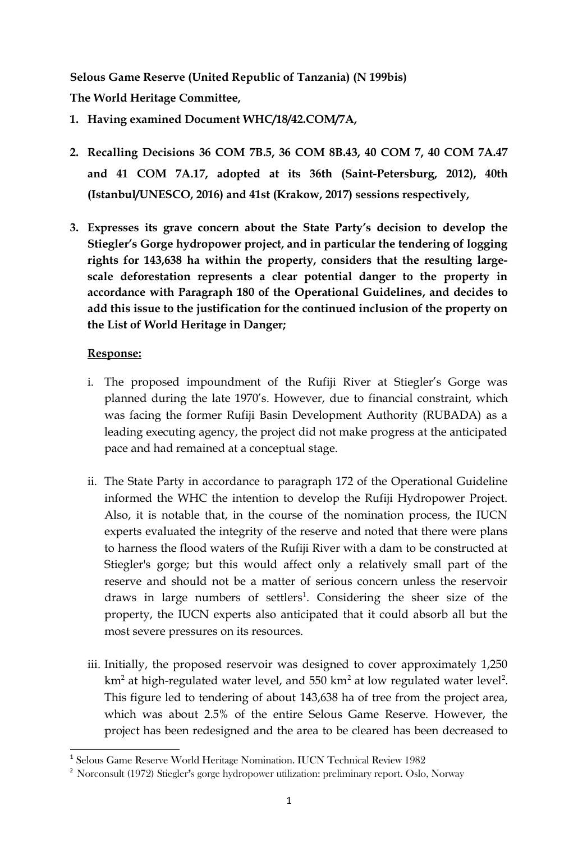**Selous Game Reserve (United Republic of Tanzania) (N 199bis) The World Heritage Committee,** 

- **1. Having examined Document WHC/18/42.COM/7A,**
- **2. Recalling Decisions 36 COM 7B.5, 36 COM 8B.43, 40 COM 7, 40 COM 7A.47 and 41 COM 7A.17, adopted at its 36th (Saint-Petersburg, 2012), 40th (Istanbul/UNESCO, 2016) and 41st (Krakow, 2017) sessions respectively,**
- **3. Expresses its grave concern about the State Party's decision to develop the Stiegler's Gorge hydropower project, and in particular the tendering of logging rights for 143,638 ha within the property, considers that the resulting largescale deforestation represents a clear potential danger to the property in accordance with Paragraph 180 of the Operational Guidelines, and decides to add this issue to the justification for the continued inclusion of the property on the List of World Heritage in Danger;**

- i. The proposed impoundment of the Rufiji River at Stiegler's Gorge was planned during the late 1970's. However, due to financial constraint, which was facing the former Rufiji Basin Development Authority (RUBADA) as a leading executing agency, the project did not make progress at the anticipated pace and had remained at a conceptual stage.
- ii. The State Party in accordance to paragraph 172 of the Operational Guideline informed the WHC the intention to develop the Rufiji Hydropower Project. Also, it is notable that, in the course of the nomination process, the IUCN experts evaluated the integrity of the reserve and noted that there were plans to harness the flood waters of the Rufiji River with a dam to be constructed at Stiegler's gorge; but this would affect only a relatively small part of the reserve and should not be a matter of serious concern unless the reservoir draws in large numbers of settlers<sup>[1](#page-4-0)</sup>. Considering the sheer size of the property, the IUCN experts also anticipated that it could absorb all but the most severe pressures on its resources.
- iii. Initially, the proposed reservoir was designed to cover approximately 1,250 km<sup>[2](#page-4-1)</sup> at high-regulated water level, and 550 km<sup>2</sup> at low regulated water level<sup>2</sup>. This figure led to tendering of about 143,638 ha of tree from the project area, which was about 2.5% of the entire Selous Game Reserve. However, the project has been redesigned and the area to be cleared has been decreased to

<span id="page-4-0"></span><sup>&</sup>lt;sup>1</sup> Selous Game Reserve World Heritage Nomination. IUCN Technical Review 1982

<span id="page-4-1"></span><sup>2</sup> Norconsult (1972) Stiegler's gorge hydropower utilization: preliminary report. Oslo, Norway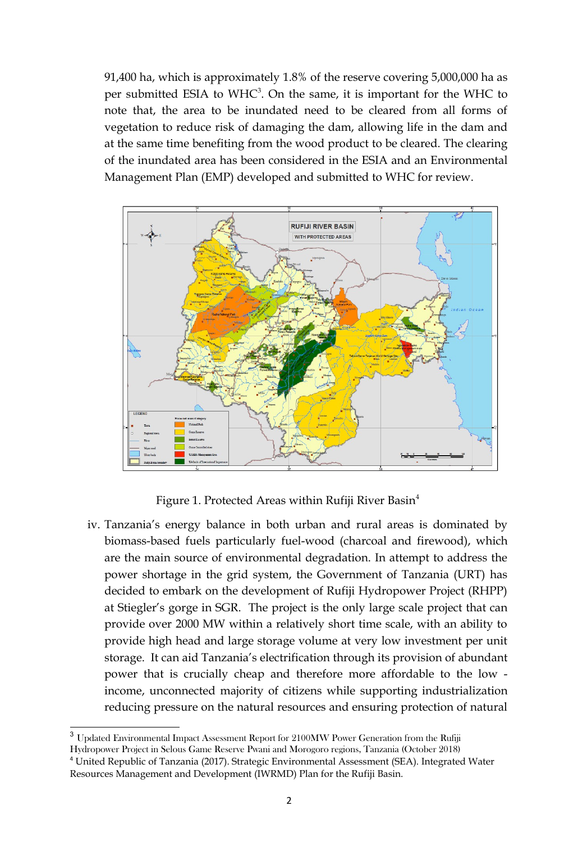91,400 ha, which is approximately 1.8% of the reserve covering 5,000,000 ha as per submitted ESIA to  $WHC<sup>3</sup>$  $WHC<sup>3</sup>$  $WHC<sup>3</sup>$ . On the same, it is important for the WHC to note that, the area to be inundated need to be cleared from all forms of vegetation to reduce risk of damaging the dam, allowing life in the dam and at the same time benefiting from the wood product to be cleared. The clearing of the inundated area has been considered in the ESIA and an Environmental Management Plan (EMP) developed and submitted to WHC for review.



Figure 1. Protected Areas within Rufiji River Basin $<sup>4</sup>$  $<sup>4</sup>$  $<sup>4</sup>$ </sup>

iv. Tanzania's energy balance in both urban and rural areas is dominated by biomass-based fuels particularly fuel-wood (charcoal and firewood), which are the main source of environmental degradation. In attempt to address the power shortage in the grid system, the Government of Tanzania (URT) has decided to embark on the development of Rufiji Hydropower Project (RHPP) at Stiegler's gorge in SGR. The project is the only large scale project that can provide over 2000 MW within a relatively short time scale, with an ability to provide high head and large storage volume at very low investment per unit storage. It can aid Tanzania's electrification through its provision of abundant power that is crucially cheap and therefore more affordable to the low income, unconnected majority of citizens while supporting industrialization reducing pressure on the natural resources and ensuring protection of natural

<span id="page-5-0"></span><sup>&</sup>lt;sup>3</sup> Updated Environmental Impact Assessment Report for 2100MW Power Generation from the Rufiji

<span id="page-5-1"></span>Hydropower Project in Selous Game Reserve Pwani and Morogoro regions, Tanzania (October 2018) <sup>4</sup> United Republic of Tanzania (2017). Strategic Environmental Assessment (SEA). Integrated Water Resources Management and Development (IWRMD) Plan for the Rufiji Basin.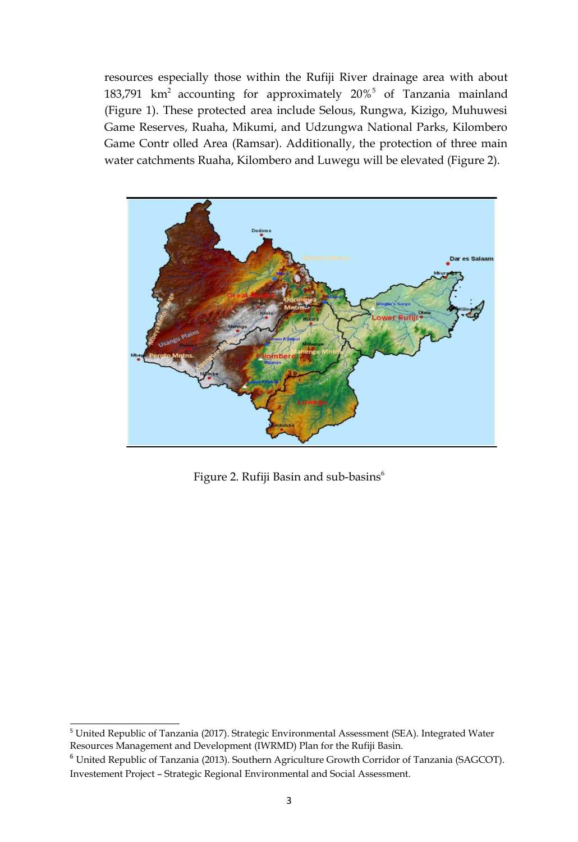resources especially those within the Rufiji River drainage area with about 183,791  $km^2$  accounting for approximately 20%<sup>[5](#page-6-0)</sup> of Tanzania mainland (Figure 1). These protected area include Selous, Rungwa, Kizigo, Muhuwesi Game Reserves, Ruaha, Mikumi, and Udzungwa National Parks, Kilombero Game Contr olled Area (Ramsar). Additionally, the protection of three main water catchments Ruaha, Kilombero and Luwegu will be elevated (Figure 2).



Figure 2. Rufiji Basin and sub-basins<sup>[6](#page-6-1)</sup>

<span id="page-6-0"></span><sup>&</sup>lt;sup>5</sup> United Republic of Tanzania (2017). Strategic Environmental Assessment (SEA). Integrated Water Resources Management and Development (IWRMD) Plan for the Rufiji Basin.

<span id="page-6-1"></span><sup>6</sup> United Republic of Tanzania (2013). Southern Agriculture Growth Corridor of Tanzania (SAGCOT). Investement Project – Strategic Regional Environmental and Social Assessment.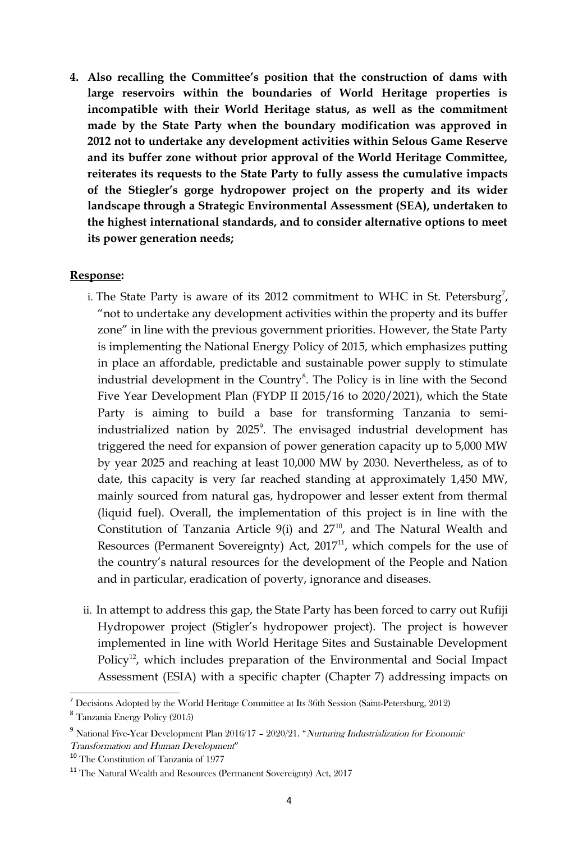**4. Also recalling the Committee's position that the construction of dams with large reservoirs within the boundaries of World Heritage properties is incompatible with their World Heritage status, as well as the commitment made by the State Party when the boundary modification was approved in 2012 not to undertake any development activities within Selous Game Reserve and its buffer zone without prior approval of the World Heritage Committee, reiterates its requests to the State Party to fully assess the cumulative impacts of the Stiegler's gorge hydropower project on the property and its wider landscape through a Strategic Environmental Assessment (SEA), undertaken to the highest international standards, and to consider alternative options to meet its power generation needs;** 

- i. The State Party is aware of its 2012 commitment to WHC in St. Petersburg<sup>[7](#page-7-0)</sup>, "not to undertake any development activities within the property and its buffer zone" in line with the previous government priorities. However, the State Party is implementing the National Energy Policy of 2015, which emphasizes putting in place an affordable, predictable and sustainable power supply to stimulate industrial development in the Country<sup>[8](#page-7-1)</sup>. The Policy is in line with the Second Five Year Development Plan (FYDP II 2015/16 to 2020/2021), which the State Party is aiming to build a base for transforming Tanzania to semi-industrialized nation by 2025<sup>[9](#page-7-2)</sup>. The envisaged industrial development has triggered the need for expansion of power generation capacity up to 5,000 MW by year 2025 and reaching at least 10,000 MW by 2030. Nevertheless, as of to date, this capacity is very far reached standing at approximately 1,450 MW, mainly sourced from natural gas, hydropower and lesser extent from thermal (liquid fuel). Overall, the implementation of this project is in line with the Constitution of Tanzania Article 9(i) and  $27<sup>10</sup>$  $27<sup>10</sup>$  $27<sup>10</sup>$ , and The Natural Wealth and Resources (Permanent Sovereignty) Act,  $2017<sup>11</sup>$  $2017<sup>11</sup>$  $2017<sup>11</sup>$ , which compels for the use of the country's natural resources for the development of the People and Nation and in particular, eradication of poverty, ignorance and diseases.
- ii. In attempt to address this gap, the State Party has been forced to carry out Rufiji Hydropower project (Stigler's hydropower project). The project is however implemented in line with World Heritage Sites and Sustainable Development Policy<sup>[12](#page-8-0)</sup>, which includes preparation of the Environmental and Social Impact Assessment (ESIA) with a specific chapter (Chapter 7) addressing impacts on

<span id="page-7-0"></span><sup>7</sup> Decisions Adopted by the World Heritage Committee at Its 36th Session (Saint-Petersburg, 2012)

<span id="page-7-1"></span><sup>8</sup> Tanzania Energy Policy (2015)

<span id="page-7-2"></span><sup>&</sup>lt;sup>9</sup> National Five-Year Development Plan 2016/17 - 2020/21. "Nurturing Industrialization for Economic Transformation and Human Development"

<span id="page-7-3"></span><sup>10</sup> The Constitution of Tanzania of 1977

<span id="page-7-4"></span><sup>11</sup> The Natural Wealth and Resources (Permanent Sovereignty) Act, 2017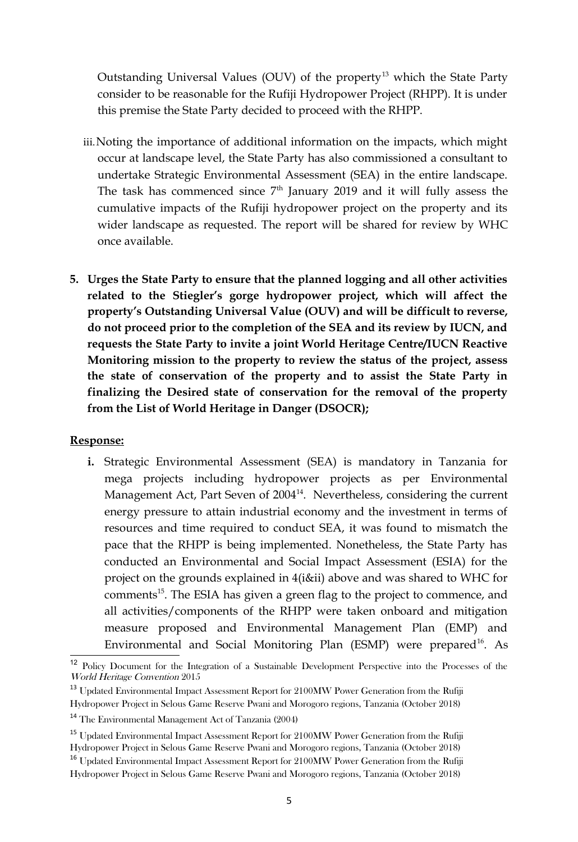Outstanding Universal Values (OUV) of the property<sup>[13](#page-8-1)</sup> which the State Party consider to be reasonable for the Rufiji Hydropower Project (RHPP). It is under this premise the State Party decided to proceed with the RHPP.

- iii.Noting the importance of additional information on the impacts, which might occur at landscape level, the State Party has also commissioned a consultant to undertake Strategic Environmental Assessment (SEA) in the entire landscape. The task has commenced since  $7<sup>th</sup>$  January 2019 and it will fully assess the cumulative impacts of the Rufiji hydropower project on the property and its wider landscape as requested. The report will be shared for review by WHC once available.
- **5. Urges the State Party to ensure that the planned logging and all other activities related to the Stiegler's gorge hydropower project, which will affect the property's Outstanding Universal Value (OUV) and will be difficult to reverse, do not proceed prior to the completion of the SEA and its review by IUCN, and requests the State Party to invite a joint World Heritage Centre/IUCN Reactive Monitoring mission to the property to review the status of the project, assess the state of conservation of the property and to assist the State Party in finalizing the Desired state of conservation for the removal of the property from the List of World Heritage in Danger (DSOCR);**

#### **Response:**

**i.** Strategic Environmental Assessment (SEA) is mandatory in Tanzania for mega projects including hydropower projects as per Environmental Management Act, Part Seven of 2004<sup>[14](#page-8-2)</sup>. Nevertheless, considering the current energy pressure to attain industrial economy and the investment in terms of resources and time required to conduct SEA, it was found to mismatch the pace that the RHPP is being implemented. Nonetheless, the State Party has conducted an Environmental and Social Impact Assessment (ESIA) for the project on the grounds explained in 4(i&ii) above and was shared to WHC for comments<sup>[15](#page-8-3)</sup>. The ESIA has given a green flag to the project to commence, and all activities/components of the RHPP were taken onboard and mitigation measure proposed and Environmental Management Plan (EMP) and Environmental and Social Monitoring Plan (ESMP) were prepared<sup>[16](#page-8-4)</sup>. As

<span id="page-8-0"></span><sup>12</sup> Policy Document for the Integration of a Sustainable Development Perspective into the Processes of the World Heritage Convention 2015

<span id="page-8-1"></span><sup>&</sup>lt;sup>13</sup> Updated Environmental Impact Assessment Report for 2100MW Power Generation from the Rufiji Hydropower Project in Selous Game Reserve Pwani and Morogoro regions, Tanzania (October 2018)

<span id="page-8-2"></span><sup>14</sup> The Environmental Management Act of Tanzania (2004)

<span id="page-8-3"></span><sup>&</sup>lt;sup>15</sup> Updated Environmental Impact Assessment Report for 2100MW Power Generation from the Rufiji Hydropower Project in Selous Game Reserve Pwani and Morogoro regions, Tanzania (October 2018)

<span id="page-8-4"></span><sup>&</sup>lt;sup>16</sup> Updated Environmental Impact Assessment Report for 2100MW Power Generation from the Rufiji Hydropower Project in Selous Game Reserve Pwani and Morogoro regions, Tanzania (October 2018)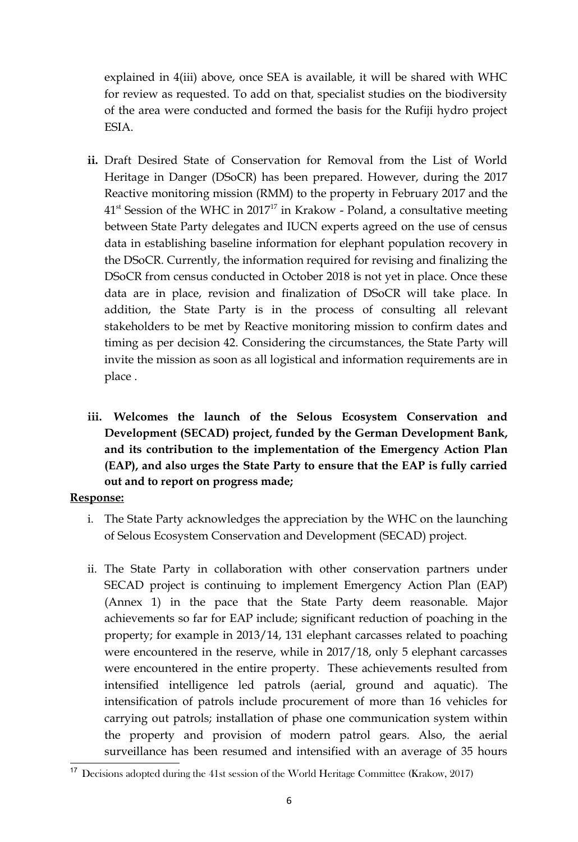explained in 4(iii) above, once SEA is available, it will be shared with WHC for review as requested. To add on that, specialist studies on the biodiversity of the area were conducted and formed the basis for the Rufiji hydro project ESIA.

- **ii.** Draft Desired State of Conservation for Removal from the List of World Heritage in Danger (DSoCR) has been prepared. However, during the 2017 Reactive monitoring mission (RMM) to the property in February 2017 and the  $41<sup>st</sup>$  Session of the WHC in 20[17](#page-9-0)<sup>17</sup> in Krakow - Poland, a consultative meeting between State Party delegates and IUCN experts agreed on the use of census data in establishing baseline information for elephant population recovery in the DSoCR. Currently, the information required for revising and finalizing the DSoCR from census conducted in October 2018 is not yet in place. Once these data are in place, revision and finalization of DSoCR will take place. In addition, the State Party is in the process of consulting all relevant stakeholders to be met by Reactive monitoring mission to confirm dates and timing as per decision 42. Considering the circumstances, the State Party will invite the mission as soon as all logistical and information requirements are in place .
- **iii. Welcomes the launch of the Selous Ecosystem Conservation and Development (SECAD) project, funded by the German Development Bank, and its contribution to the implementation of the Emergency Action Plan (EAP), and also urges the State Party to ensure that the EAP is fully carried out and to report on progress made;**

- i. The State Party acknowledges the appreciation by the WHC on the launching of Selous Ecosystem Conservation and Development (SECAD) project.
- ii. The State Party in collaboration with other conservation partners under SECAD project is continuing to implement Emergency Action Plan (EAP) (Annex 1) in the pace that the State Party deem reasonable. Major achievements so far for EAP include; significant reduction of poaching in the property; for example in 2013/14, 131 elephant carcasses related to poaching were encountered in the reserve, while in 2017/18, only 5 elephant carcasses were encountered in the entire property. These achievements resulted from intensified intelligence led patrols (aerial, ground and aquatic). The intensification of patrols include procurement of more than 16 vehicles for carrying out patrols; installation of phase one communication system within the property and provision of modern patrol gears. Also, the aerial surveillance has been resumed and intensified with an average of 35 hours

<span id="page-9-0"></span><sup>17</sup> Decisions adopted during the 41st session of the World Heritage Committee (Krakow, 2017)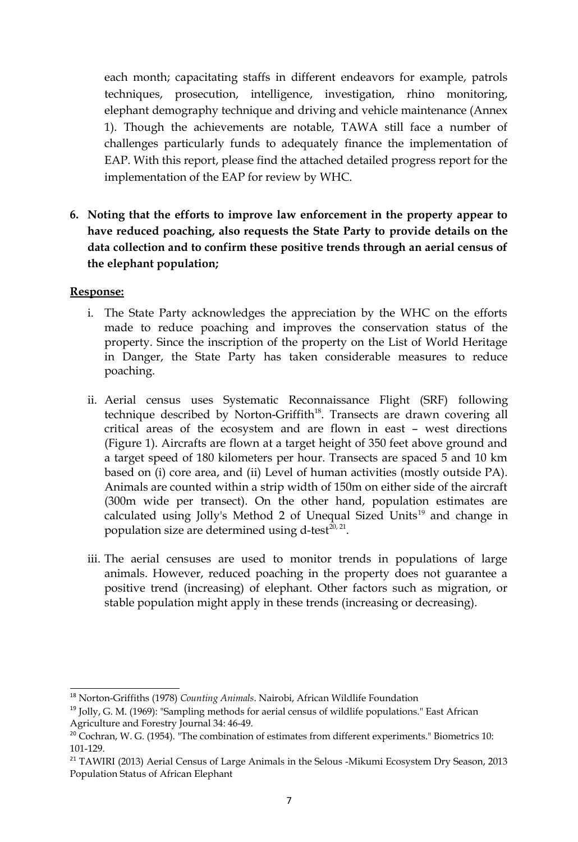each month; capacitating staffs in different endeavors for example, patrols techniques, prosecution, intelligence, investigation, rhino monitoring, elephant demography technique and driving and vehicle maintenance (Annex 1). Though the achievements are notable, TAWA still face a number of challenges particularly funds to adequately finance the implementation of EAP. With this report, please find the attached detailed progress report for the implementation of the EAP for review by WHC.

**6. Noting that the efforts to improve law enforcement in the property appear to have reduced poaching, also requests the State Party to provide details on the data collection and to confirm these positive trends through an aerial census of the elephant population;** 

- i. The State Party acknowledges the appreciation by the WHC on the efforts made to reduce poaching and improves the conservation status of the property. Since the inscription of the property on the List of World Heritage in Danger, the State Party has taken considerable measures to reduce poaching.
- ii. Aerial census uses Systematic Reconnaissance Flight (SRF) following technique described by Norton-Griffith<sup>[18](#page-10-0)</sup>. Transects are drawn covering all critical areas of the ecosystem and are flown in east – west directions (Figure 1). Aircrafts are flown at a target height of 350 feet above ground and a target speed of 180 kilometers per hour. Transects are spaced 5 and 10 km based on (i) core area, and (ii) Level of human activities (mostly outside PA). Animals are counted within a strip width of 150m on either side of the aircraft (300m wide per transect). On the other hand, population estimates are calculated using Jolly's Method 2 of Unequal Sized Units<sup>[19](#page-10-1)</sup> and change in population size are determined using d-test<sup>[20,](#page-10-2) [21](#page-10-3)</sup>.
- iii. The aerial censuses are used to monitor trends in populations of large animals. However, reduced poaching in the property does not guarantee a positive trend (increasing) of elephant. Other factors such as migration, or stable population might apply in these trends (increasing or decreasing).

<span id="page-10-0"></span><sup>18</sup> Norton-Griffiths (1978) *Counting Animals*. Nairobi, African Wildlife Foundation

<span id="page-10-1"></span><sup>&</sup>lt;sup>19</sup> Jolly, G. M. (1969): "Sampling methods for aerial census of wildlife populations." East African Agriculture and Forestry Journal 34: 46-49.

<span id="page-10-2"></span><sup>&</sup>lt;sup>20</sup> Cochran, W. G. (1954). "The combination of estimates from different experiments." Biometrics 10: 101-129.

<span id="page-10-3"></span><sup>&</sup>lt;sup>21</sup> TAWIRI (2013) Aerial Census of Large Animals in the Selous -Mikumi Ecosystem Dry Season, 2013 Population Status of African Elephant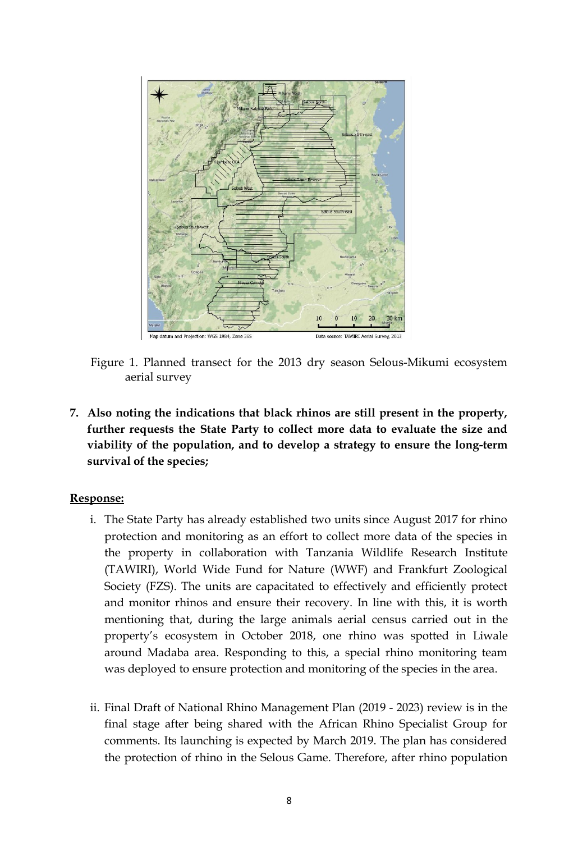

Figure 1. Planned transect for the 2013 dry season Selous-Mikumi ecosystem aerial survey

**7. Also noting the indications that black rhinos are still present in the property, further requests the State Party to collect more data to evaluate the size and viability of the population, and to develop a strategy to ensure the long-term survival of the species;** 

- i. The State Party has already established two units since August 2017 for rhino protection and monitoring as an effort to collect more data of the species in the property in collaboration with Tanzania Wildlife Research Institute (TAWIRI), World Wide Fund for Nature (WWF) and Frankfurt Zoological Society (FZS). The units are capacitated to effectively and efficiently protect and monitor rhinos and ensure their recovery. In line with this, it is worth mentioning that, during the large animals aerial census carried out in the property's ecosystem in October 2018, one rhino was spotted in Liwale around Madaba area. Responding to this, a special rhino monitoring team was deployed to ensure protection and monitoring of the species in the area.
- ii. Final Draft of National Rhino Management Plan (2019 2023) review is in the final stage after being shared with the African Rhino Specialist Group for comments. Its launching is expected by March 2019. The plan has considered the protection of rhino in the Selous Game. Therefore, after rhino population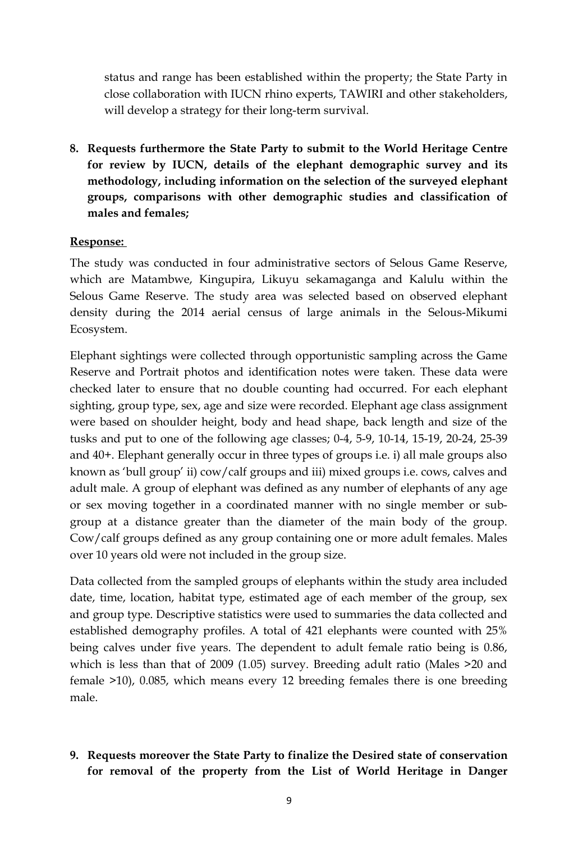status and range has been established within the property; the State Party in close collaboration with IUCN rhino experts, TAWIRI and other stakeholders, will develop a strategy for their long-term survival.

**8. Requests furthermore the State Party to submit to the World Heritage Centre for review by IUCN, details of the elephant demographic survey and its methodology, including information on the selection of the surveyed elephant groups, comparisons with other demographic studies and classification of males and females;** 

#### **Response:**

The study was conducted in four administrative sectors of Selous Game Reserve, which are Matambwe, Kingupira, Likuyu sekamaganga and Kalulu within the Selous Game Reserve. The study area was selected based on observed elephant density during the 2014 aerial census of large animals in the Selous-Mikumi Ecosystem.

Elephant sightings were collected through opportunistic sampling across the Game Reserve and Portrait photos and identification notes were taken. These data were checked later to ensure that no double counting had occurred. For each elephant sighting, group type, sex, age and size were recorded. Elephant age class assignment were based on shoulder height, body and head shape, back length and size of the tusks and put to one of the following age classes; 0-4, 5-9, 10-14, 15-19, 20-24, 25-39 and 40+. Elephant generally occur in three types of groups i.e. i) all male groups also known as 'bull group' ii) cow/calf groups and iii) mixed groups i.e. cows, calves and adult male. A group of elephant was defined as any number of elephants of any age or sex moving together in a coordinated manner with no single member or subgroup at a distance greater than the diameter of the main body of the group. Cow/calf groups defined as any group containing one or more adult females. Males over 10 years old were not included in the group size.

Data collected from the sampled groups of elephants within the study area included date, time, location, habitat type, estimated age of each member of the group, sex and group type. Descriptive statistics were used to summaries the data collected and established demography profiles. A total of 421 elephants were counted with 25% being calves under five years. The dependent to adult female ratio being is 0.86, which is less than that of 2009 (1.05) survey. Breeding adult ratio (Males >20 and female >10), 0.085, which means every 12 breeding females there is one breeding male.

**9. Requests moreover the State Party to finalize the Desired state of conservation for removal of the property from the List of World Heritage in Danger**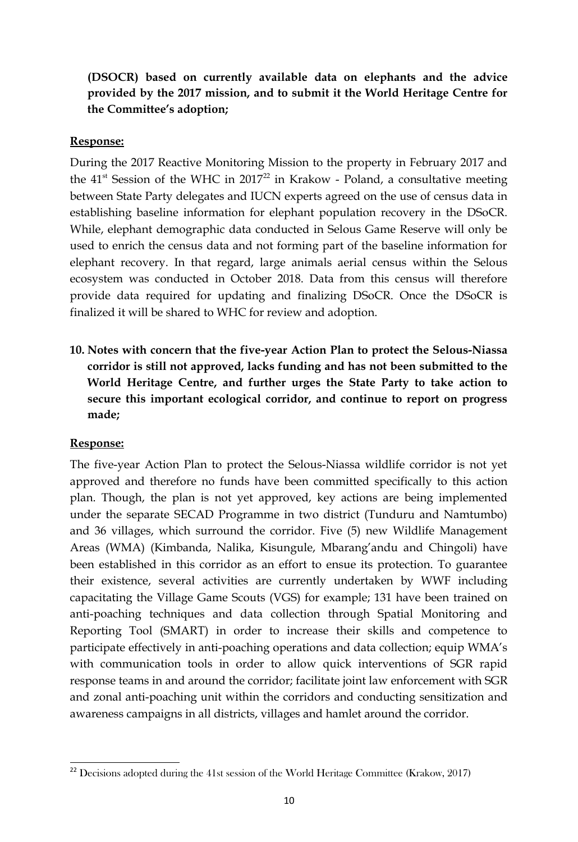# **(DSOCR) based on currently available data on elephants and the advice provided by the 2017 mission, and to submit it the World Heritage Centre for the Committee's adoption;**

#### **Response:**

During the 2017 Reactive Monitoring Mission to the property in February 2017 and the  $41<sup>st</sup>$  Session of the WHC in 2017<sup>[22](#page-13-0)</sup> in Krakow - Poland, a consultative meeting between State Party delegates and IUCN experts agreed on the use of census data in establishing baseline information for elephant population recovery in the DSoCR. While, elephant demographic data conducted in Selous Game Reserve will only be used to enrich the census data and not forming part of the baseline information for elephant recovery. In that regard, large animals aerial census within the Selous ecosystem was conducted in October 2018. Data from this census will therefore provide data required for updating and finalizing DSoCR. Once the DSoCR is finalized it will be shared to WHC for review and adoption.

**10. Notes with concern that the five-year Action Plan to protect the Selous-Niassa corridor is still not approved, lacks funding and has not been submitted to the World Heritage Centre, and further urges the State Party to take action to secure this important ecological corridor, and continue to report on progress made;** 

## **Response:**

The five-year Action Plan to protect the Selous-Niassa wildlife corridor is not yet approved and therefore no funds have been committed specifically to this action plan. Though, the plan is not yet approved, key actions are being implemented under the separate SECAD Programme in two district (Tunduru and Namtumbo) and 36 villages, which surround the corridor. Five (5) new Wildlife Management Areas (WMA) (Kimbanda, Nalika, Kisungule, Mbarang'andu and Chingoli) have been established in this corridor as an effort to ensue its protection. To guarantee their existence, several activities are currently undertaken by WWF including capacitating the Village Game Scouts (VGS) for example; 131 have been trained on anti-poaching techniques and data collection through Spatial Monitoring and Reporting Tool (SMART) in order to increase their skills and competence to participate effectively in anti-poaching operations and data collection; equip WMA's with communication tools in order to allow quick interventions of SGR rapid response teams in and around the corridor; facilitate joint law enforcement with SGR and zonal anti-poaching unit within the corridors and conducting sensitization and awareness campaigns in all districts, villages and hamlet around the corridor.

<span id="page-13-0"></span><sup>22</sup> Decisions adopted during the 41st session of the World Heritage Committee (Krakow, 2017)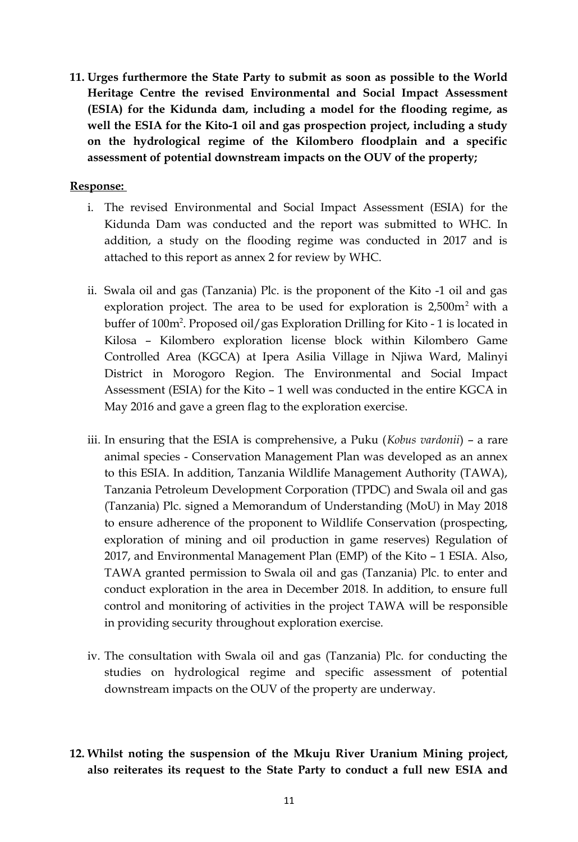**11. Urges furthermore the State Party to submit as soon as possible to the World Heritage Centre the revised Environmental and Social Impact Assessment (ESIA) for the Kidunda dam, including a model for the flooding regime, as well the ESIA for the Kito-1 oil and gas prospection project, including a study on the hydrological regime of the Kilombero floodplain and a specific assessment of potential downstream impacts on the OUV of the property;** 

- i. The revised Environmental and Social Impact Assessment (ESIA) for the Kidunda Dam was conducted and the report was submitted to WHC. In addition, a study on the flooding regime was conducted in 2017 and is attached to this report as annex 2 for review by WHC.
- ii. Swala oil and gas (Tanzania) Plc. is the proponent of the Kito -1 oil and gas exploration project. The area to be used for exploration is  $2,500m^2$  with a buffer of 100m<sup>2</sup>. Proposed oil/gas Exploration Drilling for Kito - 1 is located in Kilosa – Kilombero exploration license block within Kilombero Game Controlled Area (KGCA) at Ipera Asilia Village in Njiwa Ward, Malinyi District in Morogoro Region. The Environmental and Social Impact Assessment (ESIA) for the Kito – 1 well was conducted in the entire KGCA in May 2016 and gave a green flag to the exploration exercise.
- iii. In ensuring that the ESIA is comprehensive, a Puku (*Kobus vardonii*) a rare animal species - Conservation Management Plan was developed as an annex to this ESIA. In addition, Tanzania Wildlife Management Authority (TAWA), Tanzania Petroleum Development Corporation (TPDC) and Swala oil and gas (Tanzania) Plc. signed a Memorandum of Understanding (MoU) in May 2018 to ensure adherence of the proponent to Wildlife Conservation (prospecting, exploration of mining and oil production in game reserves) Regulation of 2017, and Environmental Management Plan (EMP) of the Kito – 1 ESIA. Also, TAWA granted permission to Swala oil and gas (Tanzania) Plc. to enter and conduct exploration in the area in December 2018. In addition, to ensure full control and monitoring of activities in the project TAWA will be responsible in providing security throughout exploration exercise.
- iv. The consultation with Swala oil and gas (Tanzania) Plc. for conducting the studies on hydrological regime and specific assessment of potential downstream impacts on the OUV of the property are underway.
- **12. Whilst noting the suspension of the Mkuju River Uranium Mining project, also reiterates its request to the State Party to conduct a full new ESIA and**